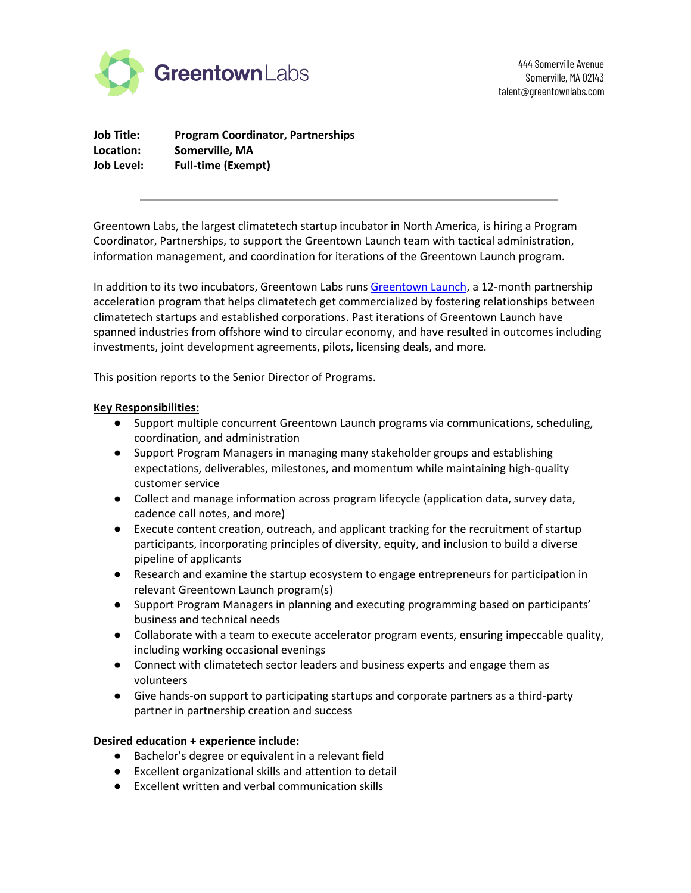

444 Somerville Avenue Somerville, MA 02143 talent@greentownlabs.com

**Job Title: Program Coordinator, Partnerships Location: Somerville, MA Job Level: Full-time (Exempt)**

Greentown Labs, the largest climatetech startup incubator in North America, is hiring a Program Coordinator, Partnerships, to support the Greentown Launch team with tactical administration, information management, and coordination for iterations of the Greentown Launch program.

In addition to its two incubators, Greentown Labs runs [Greentown Launch,](https://greentownlabs.com/partners/greentown-launch/) a 12-month partnership acceleration program that helps climatetech get commercialized by fostering relationships between climatetech startups and established corporations. Past iterations of Greentown Launch have spanned industries from offshore wind to circular economy, and have resulted in outcomes including investments, joint development agreements, pilots, licensing deals, and more.

This position reports to the Senior Director of Programs.

## **Key Responsibilities:**

- Support multiple concurrent Greentown Launch programs via communications, scheduling, coordination, and administration
- Support Program Managers in managing many stakeholder groups and establishing expectations, deliverables, milestones, and momentum while maintaining high-quality customer service
- Collect and manage information across program lifecycle (application data, survey data, cadence call notes, and more)
- Execute content creation, outreach, and applicant tracking for the recruitment of startup participants, incorporating principles of diversity, equity, and inclusion to build a diverse pipeline of applicants
- Research and examine the startup ecosystem to engage entrepreneurs for participation in relevant Greentown Launch program(s)
- Support Program Managers in planning and executing programming based on participants' business and technical needs
- Collaborate with a team to execute accelerator program events, ensuring impeccable quality, including working occasional evenings
- Connect with climatetech sector leaders and business experts and engage them as volunteers
- Give hands-on support to participating startups and corporate partners as a third-party partner in partnership creation and success

## **Desired education + experience include:**

- Bachelor's degree or equivalent in a relevant field
- Excellent organizational skills and attention to detail
- Excellent written and verbal communication skills